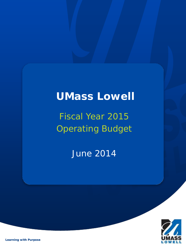# **UMass Lowell**

# Fiscal Year 2015 Operating Budget

June 2014



*Learning with Purpose*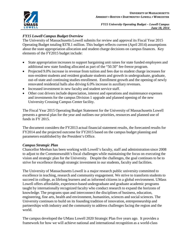# *FY15 Lowell Campus Budget Overview*

The University of Massachusetts Lowell submits for review and approval its Fiscal Year 2015 Operating Budget totaling \$378.1 million. This budget reflects current (April 2014) assumptions about the state appropriation allocation and student charge decisions on campus finances. Key elements of the FY2015 budget include:

- State appropriation increases to support bargaining unit raises for state funded employees and additional new state funding allocated as part of the "50.50" fee-freeze program.
- Projected 9.0% increase in revenue from tuition and fees due to student charge increases for non-resident students and resident graduate students and growth in undergraduate, graduate, out-of-state and continuing studies enrollment. Enrollment growth and the opening of newly renovated residential halls also driving 6.0% increase in auxiliary revenues.
- Increased investment in new faculty and student service staff.
- Other cost drivers include depreciation, interest and operations and maintenance expenses and investments for the campus Division 1 upgrade and planned opening of the new University Crossing Campus Center facility.

The Fiscal Year 2015 Operating Budget Statement for the University of Massachusetts Lowell presents a general plan for the year and outlines our priorities, resources and planned use of funds in FY 2015.

The document considers the FY2013 actual financial statement results, the forecasted results for FY2014 and the projected outcome for FY2015 based on the campus budget planning and parameters established by the President's Office.

## *Campus Strategic Plan*

Chancellor Meehan has been working with Lowell's faculty, staff and administration since 2008 to adjust to the Commonwealth's fiscal challenges while maintaining the focus on executing the vision and strategic plan for the University. Despite the challenges, the goal continues to be to strive for excellence through strategic investment in our students, faculty and facilities.

The University of Massachusetts Lowell is a major research public university committed to excellence in teaching, research and community engagement. We strive to transform students to succeed in college, as lifelong learners and as informed citizens in a global environment. UMass Lowell offers affordable, experience-based undergraduate and graduate academic programs taught by internationally recognized faculty who conduct research to expand the horizons of knowledge. The programs span and interconnect the disciplines of business, education, engineering, fine arts, health and environment, humanities, sciences and social sciences. The University continues to build on its founding tradition of innovation, entrepreneurship and partnerships with industry and the community to address challenges facing the region and the world.

The campus developed the UMass Lowell 2020 Strategic Plan five years ago. It provides a framework for how we will achieve national and international recognition as a world-class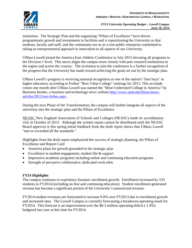

institution. The Strategic Plan and the organizing "Pillars of Excellence" have driven programmatic growth and investments in facilities and is repositioning the University so that students, faculty and staff, and the community see us as a true public enterprise committed to taking an entrepreneurial approach to innovation in all aspects of our University.

UMass Lowell joined the America East Athletic Conference in July 2013 elevating all programs to the Division 1 level. This move aligns the campus more closely with peer research institutions in the region and across the country. The invitation to join the conference is a further recognition of the progress that the University has made toward achieving the goals set out by the strategic plan.

UMass Lowell's progress is receiving national recognition as one of the nation's "best buys" in higher education, according to Forbes' "Best Value College" rankings for 2013. This accolade comes one month after UMass Lowell was named the "Most Underrated College in America" by Business Insider, a business and technology news website http://www.uml.edu/News/newsarticles/2013/sun-forbes.aspx .

During the next Phase of the Transformation, the campus will further integrate all aspects of the university into the strategic plan and the Pillars of Excellence.

NEASC New England Association of Schools and Colleges (NEASC) made its accreditation visit in October of 2013. Although the written report cannot be distributed until the NEASC Board approves it this spring initial feedback from the draft report shows that UMass Lowell "met or exceeded all the standards."

Highlights from the draft report emphasized the success of strategic planning, the Pillars of Excellence and Report Card

- Assertive plans for growth grounded in the strategic plan
- Excellence in student engagement, student life & support
- Impressive academic programs including online and continuing education programs
- Strength of pervasive collaborative, dedicated work ethic

### *FY14 Highlights*

The campus continues to experience dynamic enrollment growth. Enrollment increased by 535 students in FY2014 (including on-line and continuing education). Student enrollment generated revenue has become a significant portion of the University's unrestricted revenue.

FY2014 student revenues are forecasted to increase 9.0% over FY2013 due to enrollment growth and increased rates. The Lowell Campus is currently forecasting a breakeven operating result for FY2014. This forecast is an improvement over the \$6.3 million operating deficit (-1.8%) budgeted last year at this time for FY2014.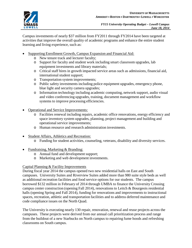

Campus investments of nearly \$37 million from FY2011 through FY2014 have been targeted at activities that improve the overall quality of academic programs and enhance the entire student learning and living experience, such as:

- Supporting Enrollment Growth, Campus Expansion and Financial Aid:
	- o New tenure track and lecturer faculty;
	- o Support for faculty and student work including smart classroom upgrades, lab equipment investments and library materials;
	- o Critical staff hires in growth impacted service areas such as admissions, financial aid, international student support;
	- o Transportation system improvements;
	- o Public safety investments including police equipment upgrades, emergency phone, blue light and security camera upgrades;
	- o Information technology including academic computing, network support, audio visual and video conferencing upgrades, training, document management and workflow systems to improve processing efficiencies.
- Operational and Service Improvements:
	- o Facilities renewal including repairs, academic office renovations, energy efficiency and space inventory system upgrades, planning, project management and building and operational service improvements;
	- o Human resource and research administration investments.
- Student Affairs, Athletics and Recreation:
	- o Funding for student activities, counseling, veterans, disability and diversity services.
- Fundraising, Marketing & Branding:
	- o Annual fund and development support;
	- o Marketing and web development investments.

## Capital Planning & Facility Improvements

During fiscal year 2014 the campus opened two new residential halls on East and South campuses. University Suites and Riverview Suites added more than 980 suite style beds as well as additional recreation facilities and food service options for our students. The campus borrowed \$132 million in February of 2014 through UMBA to finance the University Crossing campus center construction (opening Fall 2014), renovations to Leitch & Bourgeois residential halls (opening Spring and Fall 2014), funding for renovations and improvements to instructional spaces, recreation, athletic and transportation facilities and to address deferred maintenance and code compliance issues on the North Quad.

The University is executing nearly 130 repair, renovation, renewal and reuse projects across the campuses. These projects were derived from our annual call prioritization process and range from the buildout of a new Starbucks on North campus to repairing fume hoods and refreshing classrooms on South campus.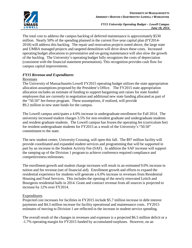

The total cost to address the campus backlog of deferred maintenance is approximately \$530 million. Nearly 50% of the spending planned in the current five-year capital plan (FY2014- 2018) will address this backlog. The repair and renovation projects noted above, the large state and UMBA managed projects and targeted demolition will drive down these costs. Increased operating budget allocations to preventative and on-going maintenance will also slow the growth of the backlog. The University's operating budget fully recognizes the costs of depreciation (consistent with the financial statement presentation). This recognition provides cash flow for campus capital improvements.

### *FY15 Revenue and Expenditures*

#### Revenues

The University of Massachusetts Lowell FY2015 operating budget utilizes the state appropriation allocation assumptions proposed by the President's Office. The FY2015 state appropriation allocation includes an estimate of funding to support bargaining unit raises for state funded employees that are currently in negotiation and additional new state funding allocated as part of the "50.50" fee-freeze program. These assumptions, if realized, will provide \$9.2 million in new state funds for the campus.

The Lowell campus anticipates a 4.0% increase in undergraduate enrollment for Fall 2014. The university increased student charges 3.5% for non-resident graduate and undergraduate students and resident graduate students. The Lowell campus has frozen the operating fee (curriculum fee) for resident undergraduate students for FY2015 as a result of the University's "50.50" commitment to the state.

The new student center, University Crossing, will open this fall. The \$97 million facility will provide coordinated and expanded student services and programming that will be supported in part by an increase in the Student Activity Fee (SAF). In addition the SAF increase will support the ramping up of the Division 1 program to achieve conference required compliance and competitiveness milestones.

The enrollment growth and student charge increases will result in an estimated 9.0% increase in tuition and fee revenue (net of financial aid). Enrollment growth and efforts to expand the residential experience for students will generate a 6.0% increase in revenues from Residential Housing and Food Services. This includes the opening of the newly renovated Leitch and Bourgeois residential halls in 2014. Grant and contract revenue from all sources is projected to increase by 12% over FY2014.

### **Expenditures**

Projected cost increases for facilities in FY2015 include \$5.7 million increase in debt interest payments and \$4.3 million increase for facility operational and maintenance costs. FY2015 estimates of moving to Division 1 are reflected in the increase in student service spending.

The overall result of the changes in revenues and expenses is a projected \$6.5 million deficit or a -1.7% operating margin for FY2015 funded by accumulated surpluses. However, on an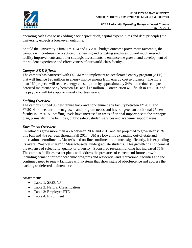

operating cash flow basis (adding back depreciation, capital expenditures and debt principle) the University expects a breakeven outcome.

Should the University's final FY2014 and FY2015 budget outcome prove more favorable, the campus will continue the practice of reviewing and targeting surpluses toward much needed facility improvements and other strategic investments to enhance the growth and development of the student experience and effectiveness of our world-class faculty.

### *Campus E&E Efforts*

The campus has partnered with DCAMM to implement an accelerated energy program (AEP) that will finance \$26 million in energy improvements from energy cost avoidance. The more than 160 projects will reduce energy consumption by approximately 24% and reduce campus deferred maintenance by between \$10 and \$12 million. Construction will finish in FY2016 and the payback will take approximately fourteen years.

#### *Staffing Overview*

The campus funded 95 new tenure track and non-tenure track faculty between FY2011 and FY2014 to meet enrollment growth and program needs and has budgeted an additional 25 new faculty in FY2015. Staffing levels have increased in areas of critical importance to the strategic plan, primarily in the facilities, public safety, student services and academic support areas.

#### *Enrollment Overview*

Enrollments grew more than 45% between 2007 and 2013 and are projected to grow nearly 5% this Fall and 4% per year through Fall 2017. UMass Lowell is expanding out-of-state and international enrollments, Master's and on-line enrollments and most significantly, it is expanding its overall "market share" of Massachusetts' undergraduate students. This growth *has not* come at the expense of selectivity, quality or diversity. Sponsored research funding has increased 75%. The campus facilities master plans will address the pressures of current and future growth including demand for new academic programs and residential and recreational facilities and the continued need to renew facilities with systems that show signs of obsolescence and address the backlog of deferred maintenance.

Attachments:

- Table 1: SRECNP
- Table 2: Natural Classification
- Table 3: Employee FTEs
- Table 4: Enrollment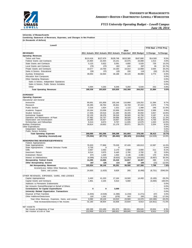

| Combining Statement of Revenues, Expenses, and Changes in Net Position |           |                          |                                                  |           |             |                          |               |
|------------------------------------------------------------------------|-----------|--------------------------|--------------------------------------------------|-----------|-------------|--------------------------|---------------|
| (in thousands of dollars)                                              |           |                          |                                                  |           |             |                          |               |
|                                                                        |           |                          |                                                  |           |             |                          |               |
| Lowell                                                                 |           |                          |                                                  |           |             |                          |               |
|                                                                        |           |                          |                                                  |           |             | FY15 Bud. v FY14 Proj.   |               |
|                                                                        |           |                          |                                                  | 2014      |             |                          |               |
| <b>REVENUES</b>                                                        |           |                          | 2011 Actuals 2012 Actuals 2013 Actuals Projected |           | 2015 Budget | \$ Change                | % Change      |
| <b>Operating Revenues</b>                                              |           |                          |                                                  |           |             |                          |               |
| Tuition and Fees                                                       | \$113,418 | \$127,679                | \$139,748                                        | \$153,380 | \$167,880   | \$14,500                 | 9.5%          |
| <b>Federal Grants and Contracts</b>                                    | 24,964    | 22,404                   | 23,151                                           | 22,075    | 23,088      | 1,013                    | 4.6%          |
| State Grants and Contracts                                             | 5,123     | 5,622                    | 5,091                                            | 4,800     | 5,529       | 729                      | 15.2%         |
| Local Grants and Contracts                                             | 278       | 279                      | 322                                              | 242       | 297         | 55                       | 22.7%         |
| <b>Private Grants and Contracts</b>                                    | 10,577    | 10,700                   | 10,160                                           | 10,314    | 12,908      | 2,594                    | 25.2%         |
| Sales & Service, Educational                                           | 228       | 375                      | 129                                              | 150       | 118         | (32)                     | $-21.3%$      |
| <b>Auxiliary Enterprises</b>                                           | 30,054    | 32,564                   | 36,188                                           | 46,115    | 48,888      | 2,773                    | 6.0%          |
| Allocation from Campuses                                               |           |                          |                                                  |           |             | $\blacksquare$           | 0.0%          |
| Other Operating Revenues:                                              |           |                          |                                                  |           |             | $\sim$                   | 0.0%          |
| Sales & Service, Independent Operations                                |           |                          |                                                  |           |             | $\overline{\phantom{a}}$ | 0.0%          |
| Sales & Service, Public Service Activities                             |           |                          |                                                  |           |             | ÷                        | 0.0%          |
| Other                                                                  | 4,694     | 4,202                    | 6,046                                            | 5,292     | 5,544       | 252                      | 4.8%          |
| <b>Total Operating Revenues</b>                                        | 189,336   | 203,825                  | 220,835                                          | 242,368   | 264,252     | 21,884                   | 9.0%          |
|                                                                        |           |                          |                                                  |           |             |                          |               |
| <b>EXPENSES</b>                                                        |           |                          |                                                  |           |             |                          |               |
| <b>Operating Expenses</b>                                              |           |                          |                                                  |           |             |                          |               |
| Educational and General                                                |           |                          |                                                  |           |             |                          |               |
| Instruction                                                            | 90,691    | 101,858                  | 105,148                                          | 116,868   | 128,252     | 11,384                   | 9.7%          |
| Research                                                               | 35,285    | 36,794                   | 35,921                                           | 34,769    | 37,444      | 2,675                    | 7.7%          |
| <b>Public Service</b>                                                  | 2,216     | 1,824                    | 1,321                                            | 1,122     | 1,368       | 246                      | 21.9%         |
| Academic Support                                                       | 20,164    | 23,058                   | 22,656                                           | 24,203    | 26,592      | 2,389                    | 9.9%          |
|                                                                        | 17,405    | 20,516                   |                                                  | 26,435    | 30,092      | 3,657                    | 13.8%         |
| <b>Student Services</b>                                                | 32,135    |                          | 21,280                                           | 39,569    | 42,756      |                          | 8.1%          |
| Institutional Support<br>Operation and Maintenance of Plant            | 27,482    | 39,376<br>32,737         | 39,316<br>30,056                                 | 38,026    | 42,327      | 3,187<br>4,301           | 11.3%         |
| Depreciation and Amortization                                          | 16,085    | 16,927                   | 19,657                                           | 23,595    | 28,325      | 4,730                    | 20.0%         |
| Scholarships and Fellowships                                           | 8,413     | 8,674                    | 9,767                                            | 11,035    | 12,675      | 1,640                    | 14.9%         |
| <b>Auxiliary Enterprises</b>                                           | 18,814    | 19,832                   | 21,176                                           | 26,071    | 28,275      | 2,204                    | 8.5%          |
| <b>Other Expenditures</b>                                              |           |                          |                                                  |           |             | $\overline{\phantom{a}}$ | 0.0%          |
| Independent Operations                                                 |           |                          |                                                  |           |             | $\overline{\phantom{a}}$ | 0.0%          |
| <b>Public Service Activities</b>                                       |           |                          |                                                  |           |             | $\overline{a}$           | 0.0%          |
| <b>Total Operating Expenses</b>                                        | 268,690   | 301,596                  | 306,298                                          | 341,693   | 378,106     | 36,413                   | 10.7%         |
| Operating Income/(Loss)                                                | (79, 354) | (97, 771)                | (85, 463)                                        | (99, 325) | (113, 854)  | (14, 529)                | 14.6%         |
|                                                                        |           |                          |                                                  |           |             |                          |               |
| <b>NONOPERATING REVENUES/(EXPENSES)</b>                                |           |                          |                                                  |           |             |                          |               |
| Federal Appropriations                                                 |           |                          |                                                  |           |             |                          |               |
| State Appropriations                                                   | 76,303    | 77,868<br>$\overline{0}$ | 79,228<br>$\overline{0}$                         | 87,426    | 100,013     | 12,587                   | 14.4%<br>0.0% |
| State Appropriations - Federal Stimulus Funds<br>Gifts                 | 5,735     | 2,463                    | 2,170                                            | 2,589     | 2,800       | 211                      | 8.1%          |
|                                                                        | 2,667     |                          |                                                  |           |             | 22                       |               |
| Investment Return<br>Endowment Return                                  | 8,514     | 3,975                    | 6,440                                            | 2,760     | 2,782       |                          | 0.8%          |
|                                                                        | 874       | 1,329                    | 1,554                                            | 2,136     | 2,306       | 170                      | 8.0%          |
| Interest on Indebtedness                                               | (4,596)   | (5,310)                  | (9,625)                                          | (11, 258) | (16, 925)   | (5,667)                  | 50.3%         |
| <b>Nonoperating Federal Grants</b>                                     | 14,290    | 15,695                   | 15,410                                           | 15,817    | 16,307      | 490                      | 3.1%          |
| <b>Other Nonoperating Income</b>                                       | 167       | 126                      | 114                                              | 120       | 105         | (15)                     | $-12.5%$      |
| <b>Net Nonoperating Revenues</b>                                       | 103,954   | 96,146                   | 95,291                                           | 99.590    | 107,388     | 7,798                    | 7.8%          |
| Income/(Loss) Before Other Revenues, Expenses,                         |           |                          |                                                  |           |             |                          |               |
| Gains, and Losses                                                      | 24,600    | (1,625)                  | 9,828                                            | 265       | (6, 466)    | (6, 731)                 | $-2540.0%$    |
|                                                                        |           |                          |                                                  |           |             |                          |               |
| OTHER REVENUES, EXPENSES, GAINS, AND LOSSES                            |           |                          |                                                  |           |             |                          |               |
| Capital Appropriations                                                 | 5,463     | 41,220                   | 17,164                                           | 19,500    | 14,400      | (5, 100)                 | $-26.2%$      |
| Capital Grants and Contracts                                           | 1,901     | 2,105                    | 5,613                                            | 5,000     |             | (5,000)                  | $-100.0%$     |
| Additions to Permanent Endowments                                      |           |                          |                                                  |           |             | $\overline{\phantom{a}}$ | 0.0%          |
| Net Amounts Earned/Received on Behalf of Others                        |           |                          |                                                  |           |             | $\overline{\phantom{a}}$ | 0.0%          |
| <b>Contributions for Capital Expenditures</b>                          | 0         | 0                        | 3,000                                            |           |             | $\overline{\phantom{a}}$ | 0.0%          |
| University Related Organization Transactions                           |           |                          |                                                  |           |             | $\blacksquare$           | 0.0%          |
| Disposal of Plant Facilities                                           | (1,004)   | (4,528)                  | (1, 388)                                         | (1, 234)  | (1, 271)    | (37)                     | 3.0%          |
| Other Additions/Deductions                                             | 220       | 1,332                    | (379)                                            | 303       | 250         | (53)                     | $-17.5%$      |
| Total Other Revenues, Expenses, Gains, and Losses                      | 6,580     | 40,129                   | 24,010                                           | 23,569    | 13,379      | (10, 190)                | $-43.2%$      |
|                                                                        |           |                          |                                                  |           |             |                          |               |
| Total Increase/(Decrease) in Net Assets                                | 31,180    | 38,504                   | 33,838                                           | 23,834    | 6,913       | (16, 921)                | $-71.0%$      |
|                                                                        |           |                          |                                                  |           |             |                          |               |
| <b>NET ASSETS</b>                                                      |           |                          |                                                  |           |             |                          |               |
| Net Assets at Beginning of Year                                        | 182,289   | 213,469                  | 251,973                                          | 285,811   | 309,645     | 23,834                   | 8.3%          |
| Net Position at End of Year                                            | 213,469   | 251,973                  | 285,811                                          | 309,645   | 316,558     | 6,913                    | $2.2\%$       |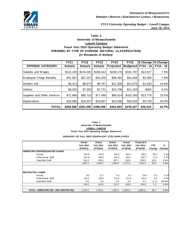

#### **Table 2 University of Massachusetts Low ell Campus Fiscal Year 2015 Operating Budget Statement** *SPENDING BY TYPE OF EXPENSE (NATURAL CLASSIFICATION) (in thousands of dollars)*

|                             | <b>FY11</b>    | <b>FY12</b>    | <b>FY13</b>    | <b>FY14</b>      | <b>FY15</b>     | \$ Change | % Change  |  |
|-----------------------------|----------------|----------------|----------------|------------------|-----------------|-----------|-----------|--|
| <b>EXPENSE CATEGORY</b>     | <b>Actuals</b> | <b>Actuals</b> | <b>Actuals</b> | <b>Projected</b> | <b>Budgeted</b> | FY14 - 15 | FY14 - 15 |  |
| Salaries and Wages          | \$131,440      | \$144.401      | \$158,412      | \$169,170        | \$181,787       | \$12,617  | 7.5%      |  |
| Employee Fringe Benefits    | \$31,857       | \$37,207       | \$33,255       | \$38,481         | \$41,464        | \$2,983   | 7.8%      |  |
| Student Aid                 | \$5,413        | \$8,674        | \$9,767        | \$11,035         | \$12,675        | \$1,640   | 14.9%     |  |
| <b>Utilities</b>            | \$9,035        | \$7,655        | \$7,721        | \$10,798         | \$11,463        | \$665     | 6.2%      |  |
| Supplies and Other Services | \$71,860       | \$86,732       | \$77,486       | \$88,614         | \$102,393       | \$13,779  | 15.5%     |  |
| Depreciation                | \$16,085       | \$16,927       | \$19,657       | \$23,595         | \$28,325        | \$4,730   | $20.0\%$  |  |
| <b>TOTAL</b>                | \$265,690      | \$301,596      | \$306,298      | \$341,693        | \$378,107       | \$36,414  | 10.7%     |  |

#### **Table 3 University of Massachusetts LOWELL CAMPUS Fiscal Year 2015 Operating Budget Statement**

#### *SUM MARY OF FULL-TIM E EQUIVALENT (FTE) EMPLOYEES*

|                                             | Actual           | Actual           | Actual           | Actual           | Projected        |            |          |
|---------------------------------------------|------------------|------------------|------------------|------------------|------------------|------------|----------|
|                                             | <b>Fall 2010</b> | <b>Fall 2011</b> | <b>Fall 2012</b> | <b>Fall 2013</b> | <b>Fall 2014</b> | <b>FTE</b> | %        |
|                                             | (FY2011)         | (FY2012)         | (FY2013)         | (FY2014)         | (FY2015)         | Change     | Change   |
| UNRESTRICTED/DESIGNATED FUNDS               |                  |                  |                  |                  |                  |            |          |
| Faculty                                     | 432.9            | 476.2            | 518.5            | 532.1            | 558.1            | 26.0       | 4.9%     |
| Professional Staff                          | 457.6            | 490.1            | 534.3            | 620.7            | 637.7            | 17.0       | 2.7%     |
| <b>Classified Staff</b>                     | 192.0            | 214.0            | 207.2            | 218.5            | 228.5            | 10.0       | 4.6%     |
|                                             | 1,082.5          | 1,180.3          | 1,260.0          | 1,371.3          | 1,424.3          | 53.0       | 3.9%     |
| <b>RESTRICTED FUNDS</b>                     |                  |                  |                  |                  |                  |            |          |
| Faculty                                     | 9.0              | 11.7             | 9.1              | 9.7              | 10.0             | 0.3        | 3.1%     |
| Professional Staff                          | 124.0            | 139.1            | 123.6            | 117.8            | 124.3            | 6.5        | 5.5%     |
| <b>Classified Staff</b>                     | 0.0              | 2.0              | 4.8              | 2.0              | 0.3              | (1.7)      | $-85.0%$ |
|                                             | 133.0            | 152.8            | 137.5            | 129.5            | 134.6            | 5.1        | 3.9%     |
| <b>AND RESTRICTED</b><br>TOTAL UNRESTRICTED | 1.215.5          | 1,333.1          | 1,397.5          | 1,500.8          | 1,558.9          | 58.1       | 3.9%     |